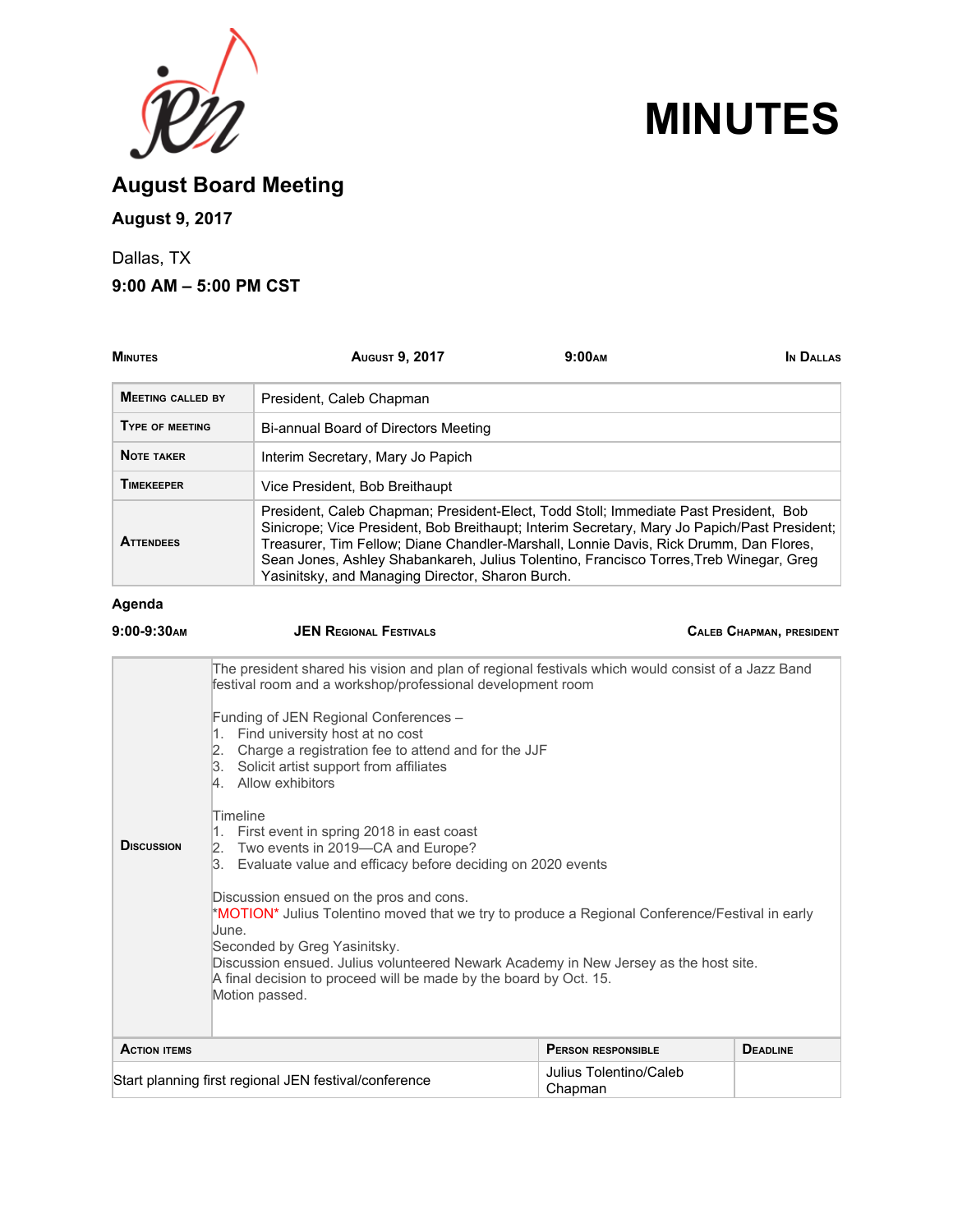



**August Board Meeting**

## **August 9, 2017**

Dallas, TX

**9:00 AM – 5:00 PM CST**

| <b>MINUTES</b>           | <b>AUGUST 9, 2017</b>                                                                                                                                                                                                                                                                                                                                                                                                       | 9:00 <sub>AM</sub> | IN DALLAS                       |
|--------------------------|-----------------------------------------------------------------------------------------------------------------------------------------------------------------------------------------------------------------------------------------------------------------------------------------------------------------------------------------------------------------------------------------------------------------------------|--------------------|---------------------------------|
| <b>MEETING CALLED BY</b> | President, Caleb Chapman                                                                                                                                                                                                                                                                                                                                                                                                    |                    |                                 |
| TYPE OF MEETING          | Bi-annual Board of Directors Meeting                                                                                                                                                                                                                                                                                                                                                                                        |                    |                                 |
| <b>NOTE TAKER</b>        | Interim Secretary, Mary Jo Papich                                                                                                                                                                                                                                                                                                                                                                                           |                    |                                 |
| <b>TIMEKEEPER</b>        | Vice President, Bob Breithaupt                                                                                                                                                                                                                                                                                                                                                                                              |                    |                                 |
| <b>ATTENDEES</b>         | President, Caleb Chapman; President-Elect, Todd Stoll; Immediate Past President, Bob<br>Sinicrope; Vice President, Bob Breithaupt; Interim Secretary, Mary Jo Papich/Past President;<br>Treasurer, Tim Fellow; Diane Chandler-Marshall, Lonnie Davis, Rick Drumm, Dan Flores,<br>Sean Jones, Ashley Shabankareh, Julius Tolentino, Francisco Torres, Treb Winegar, Greg<br>Yasinitsky, and Managing Director, Sharon Burch. |                    |                                 |
| Agenda                   |                                                                                                                                                                                                                                                                                                                                                                                                                             |                    |                                 |
| $9:00-9:30$ AM           | <b>JEN REGIONAL FESTIVALS</b>                                                                                                                                                                                                                                                                                                                                                                                               |                    | <b>CALEB CHAPMAN, PRESIDENT</b> |

|                                                                                                                                                                                                | The president shared his vision and plan of regional festivals which would consist of a Jazz Band<br>festival room and a workshop/professional development room                                                                                                                                                                                                   |                           |                 |
|------------------------------------------------------------------------------------------------------------------------------------------------------------------------------------------------|-------------------------------------------------------------------------------------------------------------------------------------------------------------------------------------------------------------------------------------------------------------------------------------------------------------------------------------------------------------------|---------------------------|-----------------|
|                                                                                                                                                                                                | Funding of JEN Regional Conferences -<br>Find university host at no cost<br>1.<br>Charge a registration fee to attend and for the JJF<br>3. Solicit artist support from affiliates<br>4. Allow exhibitors                                                                                                                                                         |                           |                 |
| Timeline<br>First event in spring 2018 in east coast<br>1.<br><b>DISCUSSION</b><br>Two events in 2019-CA and Europe?<br>2.<br>Evaluate value and efficacy before deciding on 2020 events<br>3. |                                                                                                                                                                                                                                                                                                                                                                   |                           |                 |
|                                                                                                                                                                                                | Discussion ensued on the pros and cons.<br>*MOTION* Julius Tolentino moved that we try to produce a Regional Conference/Festival in early<br>June.<br>Seconded by Greg Yasinitsky.<br>Discussion ensued. Julius volunteered Newark Academy in New Jersey as the host site.<br>A final decision to proceed will be made by the board by Oct. 15.<br>Motion passed. |                           |                 |
| <b>ACTION ITEMS</b>                                                                                                                                                                            |                                                                                                                                                                                                                                                                                                                                                                   | <b>PERSON RESPONSIBLE</b> | <b>DEADLINE</b> |
| Start planning first regional JEN festival/conference<br>Chapman                                                                                                                               |                                                                                                                                                                                                                                                                                                                                                                   | Julius Tolentino/Caleb    |                 |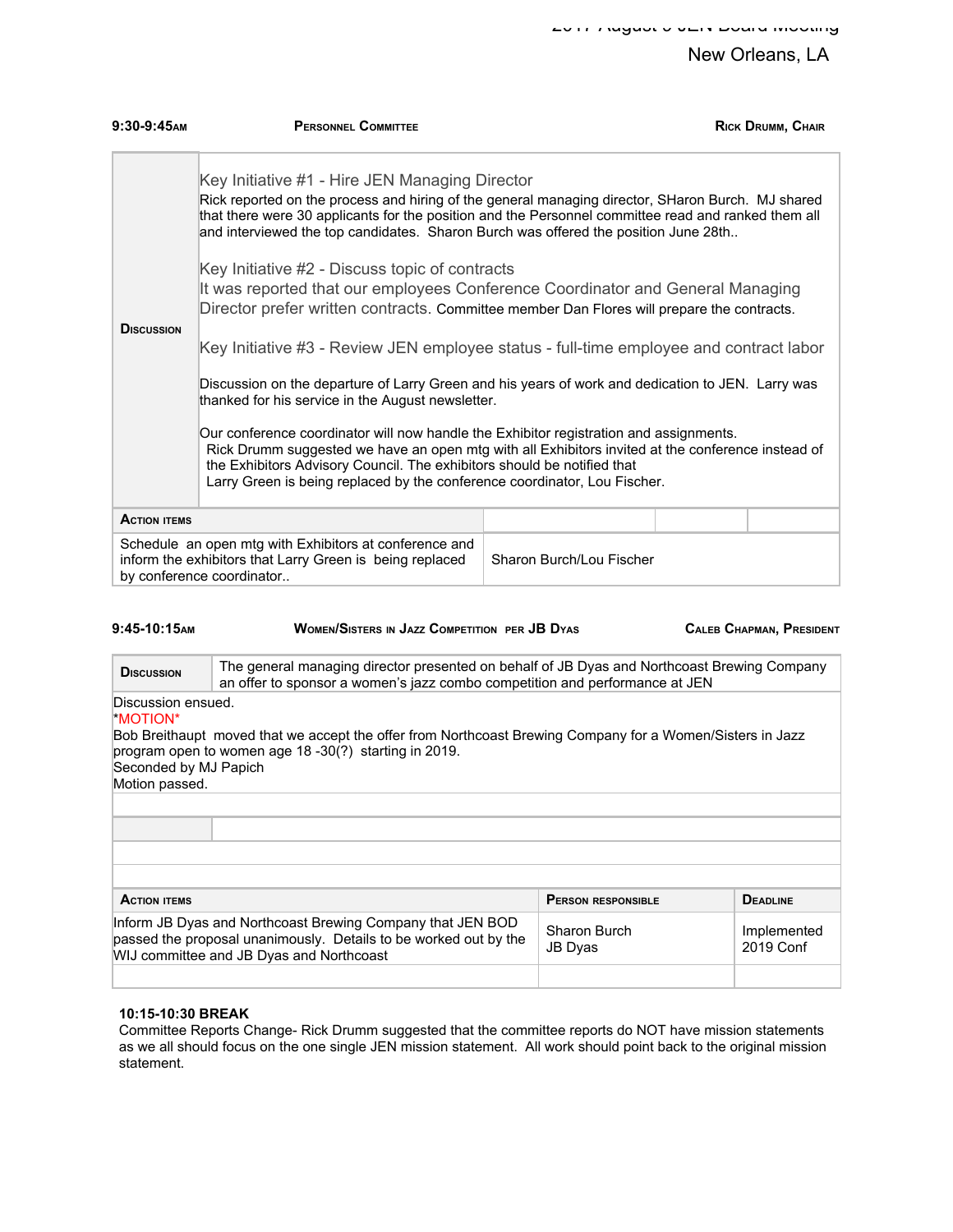| $9:30-9:45$ AM      | <b>PERSONNEL COMMITTEE</b>                                                                                                                                                                                                                                                                                                                          |                                                                                                                                                                                                                                                                                                                                                                                                                                                                                                                                                                                         | <b>RICK DRUMM, CHAIR</b> |  |
|---------------------|-----------------------------------------------------------------------------------------------------------------------------------------------------------------------------------------------------------------------------------------------------------------------------------------------------------------------------------------------------|-----------------------------------------------------------------------------------------------------------------------------------------------------------------------------------------------------------------------------------------------------------------------------------------------------------------------------------------------------------------------------------------------------------------------------------------------------------------------------------------------------------------------------------------------------------------------------------------|--------------------------|--|
| <b>D</b> ISCUSSION  | Key Initiative #1 - Hire JEN Managing Director<br>and interviewed the top candidates. Sharon Burch was offered the position June 28th<br>Key Initiative #2 - Discuss topic of contracts<br>thanked for his service in the August newsletter.                                                                                                        | Rick reported on the process and hiring of the general managing director, SHaron Burch. MJ shared<br>that there were 30 applicants for the position and the Personnel committee read and ranked them all<br>It was reported that our employees Conference Coordinator and General Managing<br>Director prefer written contracts. Committee member Dan Flores will prepare the contracts.<br>Key Initiative #3 - Review JEN employee status - full-time employee and contract labor<br>Discussion on the departure of Larry Green and his years of work and dedication to JEN. Larry was |                          |  |
|                     | Our conference coordinator will now handle the Exhibitor registration and assignments.<br>Rick Drumm suggested we have an open mtg with all Exhibitors invited at the conference instead of<br>the Exhibitors Advisory Council. The exhibitors should be notified that<br>Larry Green is being replaced by the conference coordinator, Lou Fischer. |                                                                                                                                                                                                                                                                                                                                                                                                                                                                                                                                                                                         |                          |  |
| <b>ACTION ITEMS</b> |                                                                                                                                                                                                                                                                                                                                                     |                                                                                                                                                                                                                                                                                                                                                                                                                                                                                                                                                                                         |                          |  |
|                     | Schedule an open mtg with Exhibitors at conference and<br>Sharon Burch/Lou Fischer<br>inform the exhibitors that Larry Green is being replaced<br>by conference coordinator                                                                                                                                                                         |                                                                                                                                                                                                                                                                                                                                                                                                                                                                                                                                                                                         |                          |  |

| $9:45-10:15$ AM | <b>WOMEN/SISTERS IN JAZZ COMPETITION PER JB DYAS</b> | <b>CALEB CHAPMAN, PRESIDENT</b> |
|-----------------|------------------------------------------------------|---------------------------------|
|                 |                                                      |                                 |

**D**ISCUSSION The general managing director presented on behalf of JB Dyas and Northcoast Brewing Company an offer to sponsor a women's jazz combo competition and performance at JEN Discussion ensued. \*MOTION\* Bob Breithaupt moved that we accept the offer from Northcoast Brewing Company for a Women/Sisters in Jazz program open to women age 18 -30(?) starting in 2019. Seconded by MJ Papich Motion passed. **PERSON RESPONSIBLE PERSON RESPONSIBLE PERSON RESPONSIBLE DEADLINE** Inform JB Dyas and Northcoast Brewing Company that JEN BOD passed the proposal unanimously. Details to be worked out by the WIJ committee and JB Dyas and Northcoast Sharon Burch JB Dyas Implemented 2019 Conf

#### **10:15-10:30 BREAK**

Committee Reports Change- Rick Drumm suggested that the committee reports do NOT have mission statements as we all should focus on the one single JEN mission statement. All work should point back to the original mission statement.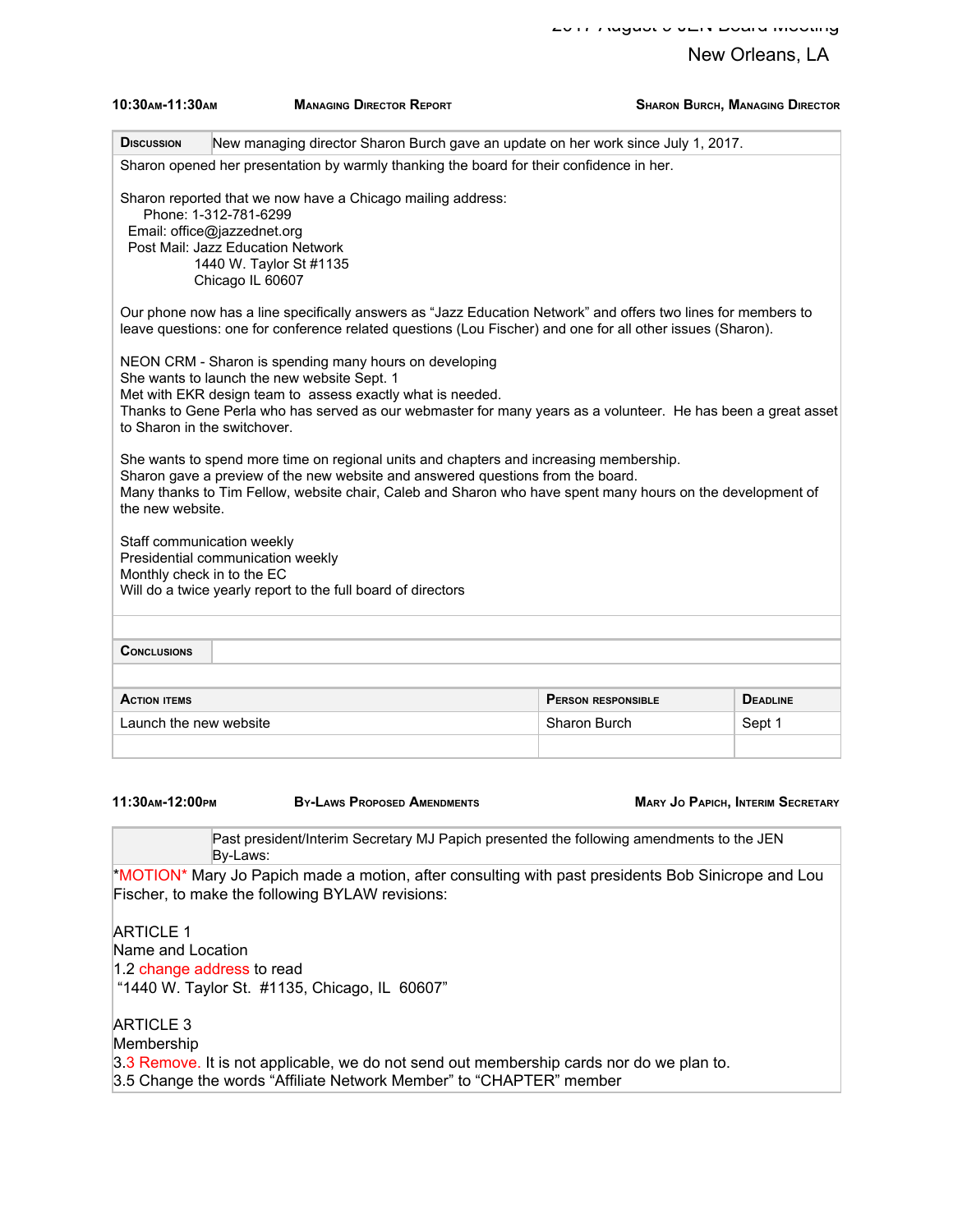| 10:30 АМ-11:30 АМ                                        | <b>MANAGING DIRECTOR REPORT</b>                                                                                                                                                                                                                                                         | <b>SHARON BURCH, MANAGING DIRECTOR</b>       |
|----------------------------------------------------------|-----------------------------------------------------------------------------------------------------------------------------------------------------------------------------------------------------------------------------------------------------------------------------------------|----------------------------------------------|
| <b>DISCUSSION</b>                                        | New managing director Sharon Burch gave an update on her work since July 1, 2017.                                                                                                                                                                                                       |                                              |
|                                                          | Sharon opened her presentation by warmly thanking the board for their confidence in her.                                                                                                                                                                                                |                                              |
| Phone: 1-312-781-6299<br>Email: office@jazzednet.org     | Sharon reported that we now have a Chicago mailing address:<br>Post Mail: Jazz Education Network<br>1440 W. Taylor St #1135<br>Chicago IL 60607                                                                                                                                         |                                              |
|                                                          | Our phone now has a line specifically answers as "Jazz Education Network" and offers two lines for members to<br>leave questions: one for conference related questions (Lou Fischer) and one for all other issues (Sharon).                                                             |                                              |
| to Sharon in the switchover.                             | NEON CRM - Sharon is spending many hours on developing<br>She wants to launch the new website Sept. 1<br>Met with EKR design team to assess exactly what is needed.<br>Thanks to Gene Perla who has served as our webmaster for many years as a volunteer. He has been a great asset    |                                              |
| the new website.                                         | She wants to spend more time on regional units and chapters and increasing membership.<br>Sharon gave a preview of the new website and answered questions from the board.<br>Many thanks to Tim Fellow, website chair, Caleb and Sharon who have spent many hours on the development of |                                              |
| Staff communication weekly<br>Monthly check in to the EC | Presidential communication weekly<br>Will do a twice yearly report to the full board of directors                                                                                                                                                                                       |                                              |
| <b>CONCLUSIONS</b>                                       |                                                                                                                                                                                                                                                                                         |                                              |
| <b>ACTION ITEMS</b>                                      |                                                                                                                                                                                                                                                                                         | <b>PERSON RESPONSIBLE</b><br><b>DEADLINE</b> |
| Launch the new website                                   |                                                                                                                                                                                                                                                                                         | Sharon Burch<br>Sept 1                       |
|                                                          |                                                                                                                                                                                                                                                                                         |                                              |

**11:30AM-12:00PM BY-LAWS PROPOSED AMENDMENTS MARY JO PAPICH, INTERIM SECRETARY**

Past president/Interim Secretary MJ Papich presented the following amendments to the JEN By-Laws:

\*MOTION\* Mary Jo Papich made a motion, after consulting with past presidents Bob Sinicrope and Lou Fischer, to make the following BYLAW revisions:

ARTICLE 1 Name and Location 1.2 change address to read "1440 W. Taylor St. #1135, Chicago, IL 60607"

ARTICLE 3 Membership 3.3 Remove. It is not applicable, we do not send out membership cards nor do we plan to. 3.5 Change the words "Affiliate Network Member" to "CHAPTER" member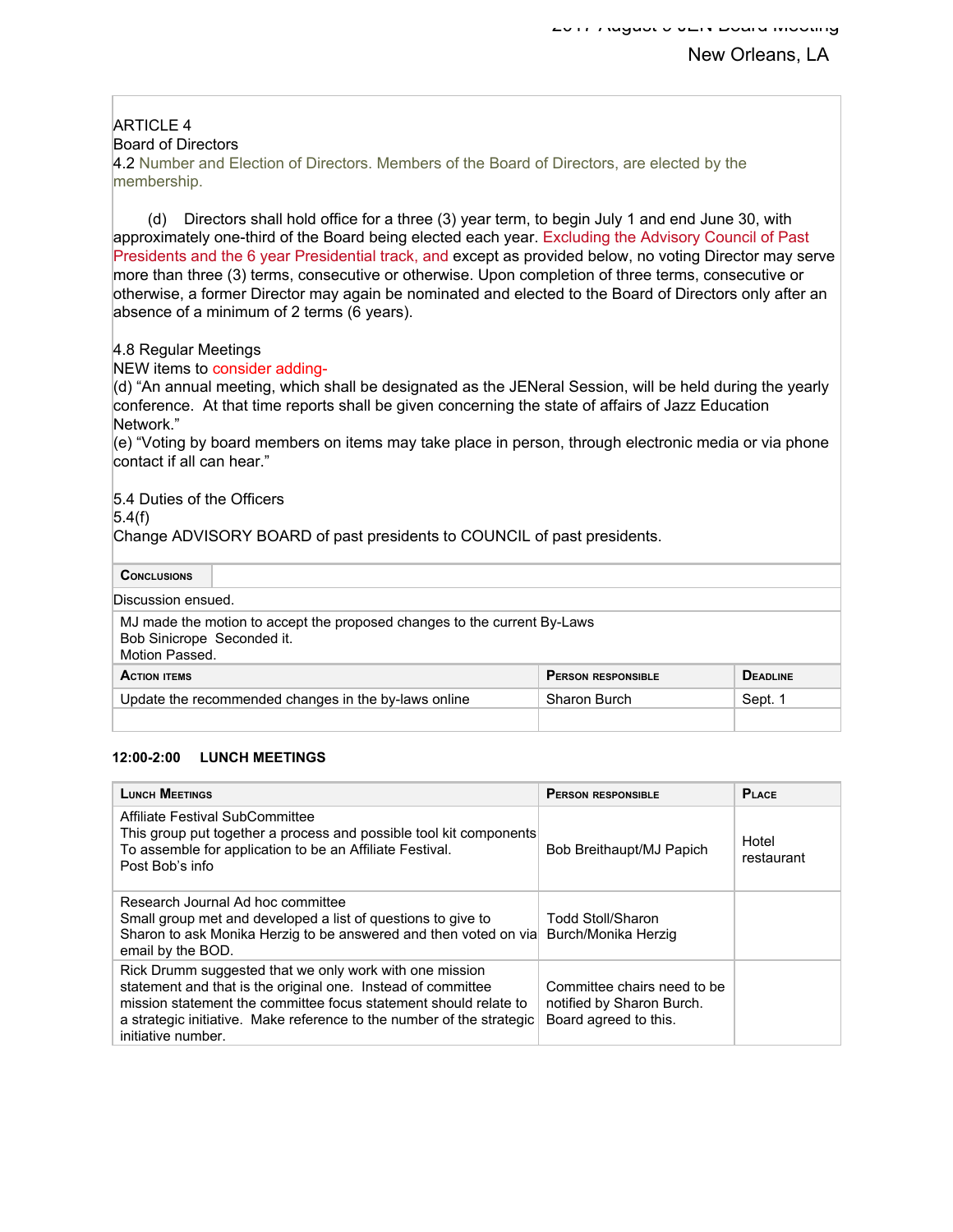# ARTICLE 4

Board of Directors

4.2 Number and Election of Directors. Members of the Board of Directors, are elected by the membership.

(d) Directors shall hold office for a three (3) year term, to begin July 1 and end June 30, with approximately one-third of the Board being elected each year. Excluding the Advisory Council of Past Presidents and the 6 year Presidential track, and except as provided below, no voting Director may serve more than three (3) terms, consecutive or otherwise. Upon completion of three terms, consecutive or otherwise, a former Director may again be nominated and elected to the Board of Directors only after an absence of a minimum of 2 terms (6 years).

4.8 Regular Meetings

NEW items to consider adding-

(d) "An annual meeting, which shall be designated as the JENeral Session, will be held during the yearly conference. At that time reports shall be given concerning the state of affairs of Jazz Education Network."

(e) "Voting by board members on items may take place in person, through electronic media or via phone contact if all can hear."

5.4 Duties of the Officers

 $5.4(f)$ 

Change ADVISORY BOARD of past presidents to COUNCIL of past presidents.

**CONCLUSIONS**

Discussion ensued.

MJ made the motion to accept the proposed changes to the current By-Laws Bob Sinicrope Seconded it. Motion Passed.

| <b>ACTION ITEMS</b>                                  | <b>PERSON RESPONSIBLE</b> | <b>DEADLINE</b> |
|------------------------------------------------------|---------------------------|-----------------|
| Update the recommended changes in the by-laws online | Sharon Burch              | Sept.           |
|                                                      |                           |                 |

#### **12:00-2:00 LUNCH MEETINGS**

| <b>LUNCH MEETINGS</b>                                                                                                                                                                                                                                                                      | <b>PERSON RESPONSIBLE</b>                                                         | PLACE               |
|--------------------------------------------------------------------------------------------------------------------------------------------------------------------------------------------------------------------------------------------------------------------------------------------|-----------------------------------------------------------------------------------|---------------------|
| Affiliate Festival SubCommittee<br>This group put together a process and possible tool kit components<br>To assemble for application to be an Affiliate Festival.<br>Post Bob's info                                                                                                       | Bob Breithaupt/MJ Papich                                                          | Hotel<br>restaurant |
| Research Journal Ad hoc committee<br>Small group met and developed a list of questions to give to<br>Sharon to ask Monika Herzig to be answered and then voted on via<br>email by the BOD.                                                                                                 | <b>Todd Stoll/Sharon</b><br>Burch/Monika Herzig                                   |                     |
| Rick Drumm suggested that we only work with one mission<br>statement and that is the original one. Instead of committee<br>mission statement the committee focus statement should relate to<br>a strategic initiative. Make reference to the number of the strategic<br>initiative number. | Committee chairs need to be<br>notified by Sharon Burch.<br>Board agreed to this. |                     |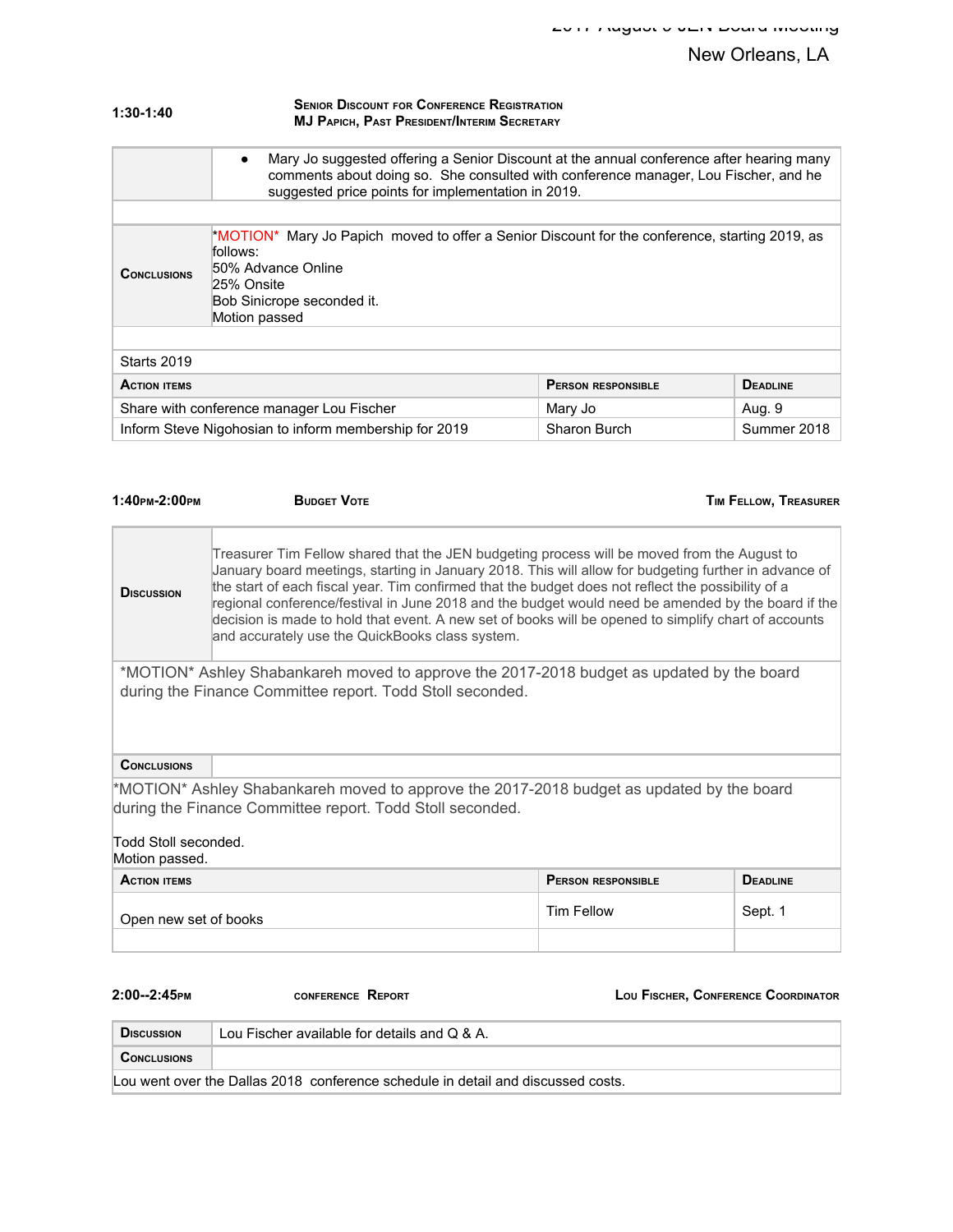| 1:30-1:40 | <b>SENIOR DISCOUNT FOR CONFERENCE REGISTRATION</b> |  |
|-----------|----------------------------------------------------|--|
|           | <b>MJ PAPICH, PAST PRESIDENT/INTERIM SECRETARY</b> |  |

| Mary Jo suggested offering a Senior Discount at the annual conference after hearing many<br>$\bullet$<br>comments about doing so. She consulted with conference manager, Lou Fischer, and he<br>suggested price points for implementation in 2019. |                                                                |  |             |
|----------------------------------------------------------------------------------------------------------------------------------------------------------------------------------------------------------------------------------------------------|----------------------------------------------------------------|--|-------------|
|                                                                                                                                                                                                                                                    |                                                                |  |             |
| $*$ MOTION* Mary Jo Papich moved to offer a Senior Discount for the conference, starting 2019, as<br>follows:<br>50% Advance Online<br><b>CONCLUSIONS</b><br>25% Onsite<br>Bob Sinicrope seconded it.<br>Motion passed                             |                                                                |  |             |
|                                                                                                                                                                                                                                                    |                                                                |  |             |
| Starts 2019                                                                                                                                                                                                                                        |                                                                |  |             |
| <b>ACTION ITEMS</b>                                                                                                                                                                                                                                | <b>DEADLINE</b><br><b>PERSON RESPONSIBLE</b>                   |  |             |
|                                                                                                                                                                                                                                                    | Share with conference manager Lou Fischer<br>Aug. 9<br>Mary Jo |  |             |
| Inform Steve Nigohosian to inform membership for 2019<br>Sharon Burch                                                                                                                                                                              |                                                                |  | Summer 2018 |

| $1:40$ PM-2:00PM                                                                                                                                                                                                                                                                                                                                                                                                                                                                                                                                                                                 | <b>BUDGET VOTE</b>                           |  | <b>TIM FELLOW, TREASURER</b> |
|--------------------------------------------------------------------------------------------------------------------------------------------------------------------------------------------------------------------------------------------------------------------------------------------------------------------------------------------------------------------------------------------------------------------------------------------------------------------------------------------------------------------------------------------------------------------------------------------------|----------------------------------------------|--|------------------------------|
| Treasurer Tim Fellow shared that the JEN budgeting process will be moved from the August to<br>January board meetings, starting in January 2018. This will allow for budgeting further in advance of<br>the start of each fiscal year. Tim confirmed that the budget does not reflect the possibility of a<br><b>DISCUSSION</b><br>regional conference/festival in June 2018 and the budget would need be amended by the board if the<br>decision is made to hold that event. A new set of books will be opened to simplify chart of accounts<br>and accurately use the QuickBooks class system. |                                              |  |                              |
| *MOTION* Ashley Shabankareh moved to approve the 2017-2018 budget as updated by the board<br>during the Finance Committee report. Todd Stoll seconded.                                                                                                                                                                                                                                                                                                                                                                                                                                           |                                              |  |                              |
| <b>CONCLUSIONS</b>                                                                                                                                                                                                                                                                                                                                                                                                                                                                                                                                                                               |                                              |  |                              |
| *MOTION* Ashley Shabankareh moved to approve the 2017-2018 budget as updated by the board<br>during the Finance Committee report. Todd Stoll seconded.<br>Todd Stoll seconded.<br>Motion passed.                                                                                                                                                                                                                                                                                                                                                                                                 |                                              |  |                              |
| <b>ACTION ITEMS</b>                                                                                                                                                                                                                                                                                                                                                                                                                                                                                                                                                                              | <b>DEADLINE</b><br><b>PERSON RESPONSIBLE</b> |  |                              |
| <b>Tim Fellow</b><br>Open new set of books                                                                                                                                                                                                                                                                                                                                                                                                                                                                                                                                                       |                                              |  | Sept. 1                      |

**2:00--2:45PM CONFERENCE REPORT LOU FISCHER, CONFERENCE COORDINATOR Discussion** Lou Fischer available for details and Q & A. **CONCLUSIONS** Lou went over the Dallas 2018 conference schedule in detail and discussed costs.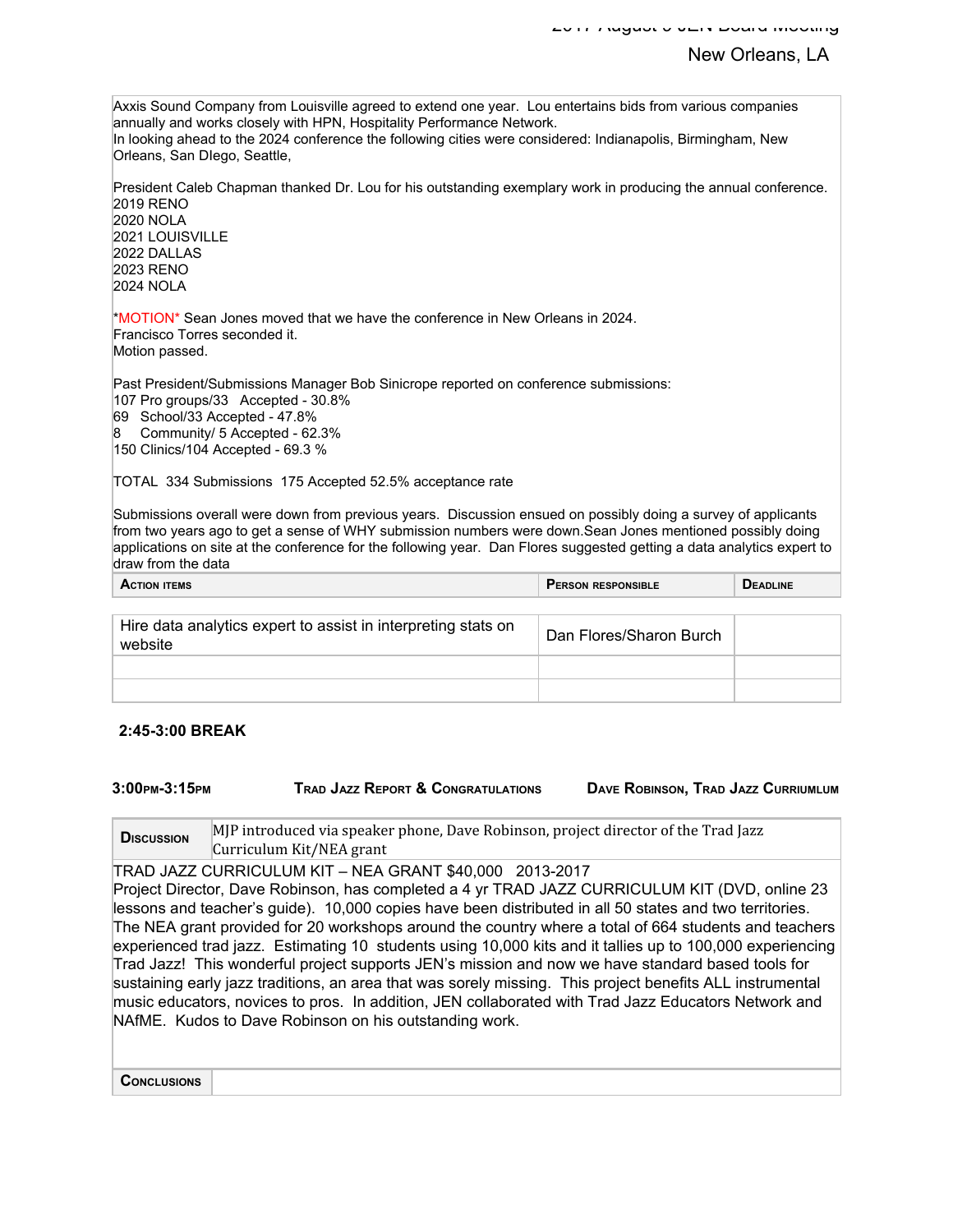Axxis Sound Company from Louisville agreed to extend one year. Lou entertains bids from various companies annually and works closely with HPN, Hospitality Performance Network. In looking ahead to the 2024 conference the following cities were considered: Indianapolis, Birmingham, New Orleans, San DIego, Seattle,

President Caleb Chapman thanked Dr. Lou for his outstanding exemplary work in producing the annual conference. 2019 RENO

2020 NOLA 2021 LOUISVILLE 2022 DALLAS 2023 RENO 2024 NOLA

\*MOTION\* Sean Jones moved that we have the conference in New Orleans in 2024. Francisco Torres seconded it. Motion passed.

Past President/Submissions Manager Bob Sinicrope reported on conference submissions:

107 Pro groups/33 Accepted - 30.8% 69 School/33 Accepted - 47.8%

8 Community/ 5 Accepted - 62.3% 150 Clinics/104 Accepted - 69.3 %

TOTAL 334 Submissions 175 Accepted 52.5% acceptance rate

Submissions overall were down from previous years. Discussion ensued on possibly doing a survey of applicants from two years ago to get a sense of WHY submission numbers were down.Sean Jones mentioned possibly doing applications on site at the conference for the following year. Dan Flores suggested getting a data analytics expert to draw from the data

| TION ITEMS<br>nu | <b>I RESPONSIBLE</b><br><b>'ERSON</b> | <b>ADLINE</b> |
|------------------|---------------------------------------|---------------|
|                  |                                       |               |

| Hire data analytics expert to assist in interpreting stats on<br>website | Dan Flores/Sharon Burch |  |
|--------------------------------------------------------------------------|-------------------------|--|
|                                                                          |                         |  |
|                                                                          |                         |  |

#### **2:45-3:00 BREAK**

**3:00PM-3:15PM TRAD JAZZ REPORT & CONGRATULATIONS DAVE ROBINSON, TRAD JAZZ CURRIUMLUM**

**D**ISCUSSION MJP introduced via speaker phone, Dave Robinson, project director of the Trad Jazz Curriculum Kit/NEA grant

TRAD JAZZ CURRICULUM KIT – NEA GRANT \$40,000 2013-2017 Project Director, Dave Robinson, has completed a 4 yr TRAD JAZZ CURRICULUM KIT (DVD, online 23 lessons and teacher's guide). 10,000 copies have been distributed in all 50 states and two territories. The NEA grant provided for 20 workshops around the country where a total of 664 students and teachers experienced trad jazz. Estimating 10 students using 10,000 kits and it tallies up to 100,000 experiencing Trad Jazz! This wonderful project supports JEN's mission and now we have standard based tools for sustaining early jazz traditions, an area that was sorely missing. This project benefits ALL instrumental music educators, novices to pros. In addition, JEN collaborated with Trad Jazz Educators Network and NAfME. Kudos to Dave Robinson on his outstanding work.

**CONCLUSIONS**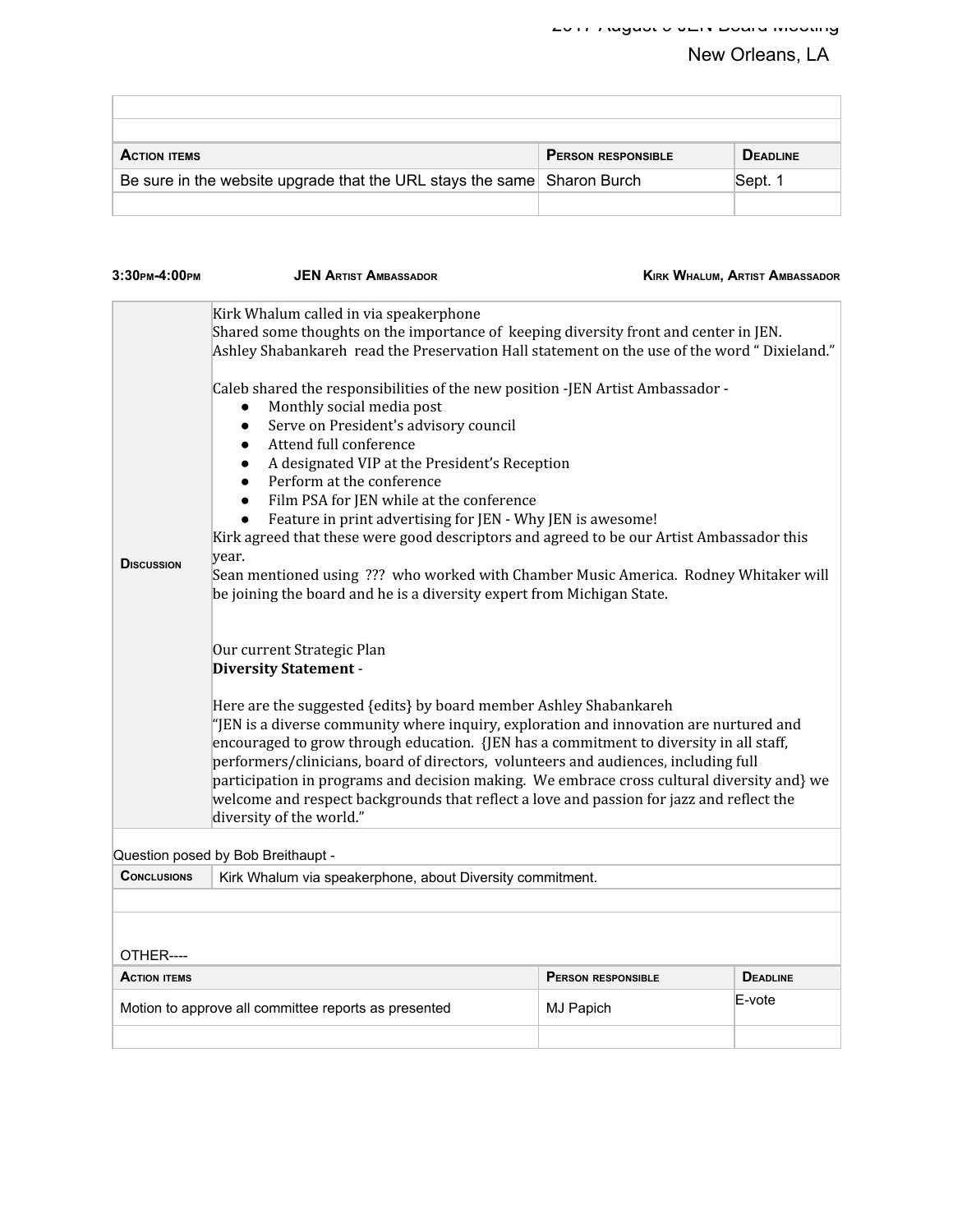| <b>ACTION ITEMS</b>                                                     | <b>PERSON RESPONSIBLE</b> | <b>DEADLINE</b> |
|-------------------------------------------------------------------------|---------------------------|-----------------|
| Be sure in the website upgrade that the URL stays the same Sharon Burch |                           | Sept. 1         |
|                                                                         |                           |                 |

| 3:30 рм-4:00 рм     | <b>JEN ARTIST AMBASSADOR</b>                                                                                                                                                                                                                                                                                                                                                                                                                                                                                                                                                                                                                                                                                                                                                                               |                           | <b>KIRK WHALUM, ARTIST AMBASSADOR</b> |  |
|---------------------|------------------------------------------------------------------------------------------------------------------------------------------------------------------------------------------------------------------------------------------------------------------------------------------------------------------------------------------------------------------------------------------------------------------------------------------------------------------------------------------------------------------------------------------------------------------------------------------------------------------------------------------------------------------------------------------------------------------------------------------------------------------------------------------------------------|---------------------------|---------------------------------------|--|
|                     | Kirk Whalum called in via speakerphone                                                                                                                                                                                                                                                                                                                                                                                                                                                                                                                                                                                                                                                                                                                                                                     |                           |                                       |  |
|                     | Shared some thoughts on the importance of keeping diversity front and center in JEN.<br>Ashley Shabankareh read the Preservation Hall statement on the use of the word "Dixieland."                                                                                                                                                                                                                                                                                                                                                                                                                                                                                                                                                                                                                        |                           |                                       |  |
| <b>DISCUSSION</b>   | Caleb shared the responsibilities of the new position -JEN Artist Ambassador -<br>Monthly social media post<br>Serve on President's advisory council<br>$\bullet$<br>Attend full conference<br>$\bullet$<br>A designated VIP at the President's Reception<br>Perform at the conference<br>Film PSA for JEN while at the conference<br>Feature in print advertising for JEN - Why JEN is awesome!<br>Kirk agreed that these were good descriptors and agreed to be our Artist Ambassador this<br>year.<br>Sean mentioned using ??? who worked with Chamber Music America. Rodney Whitaker will<br>be joining the board and he is a diversity expert from Michigan State.<br>Our current Strategic Plan<br><b>Diversity Statement -</b><br>Here are the suggested {edits} by board member Ashley Shabankareh |                           |                                       |  |
|                     | "JEN is a diverse community where inquiry, exploration and innovation are nurtured and<br>encouraged to grow through education. {JEN has a commitment to diversity in all staff,<br>performers/clinicians, board of directors, volunteers and audiences, including full<br>participation in programs and decision making. We embrace cross cultural diversity and} we<br>welcome and respect backgrounds that reflect a love and passion for jazz and reflect the<br>diversity of the world."                                                                                                                                                                                                                                                                                                              |                           |                                       |  |
|                     | Question posed by Bob Breithaupt -                                                                                                                                                                                                                                                                                                                                                                                                                                                                                                                                                                                                                                                                                                                                                                         |                           |                                       |  |
| <b>CONCLUSIONS</b>  | Kirk Whalum via speakerphone, about Diversity commitment.                                                                                                                                                                                                                                                                                                                                                                                                                                                                                                                                                                                                                                                                                                                                                  |                           |                                       |  |
|                     |                                                                                                                                                                                                                                                                                                                                                                                                                                                                                                                                                                                                                                                                                                                                                                                                            |                           |                                       |  |
| OTHER----           |                                                                                                                                                                                                                                                                                                                                                                                                                                                                                                                                                                                                                                                                                                                                                                                                            |                           |                                       |  |
| <b>ACTION ITEMS</b> |                                                                                                                                                                                                                                                                                                                                                                                                                                                                                                                                                                                                                                                                                                                                                                                                            | <b>PERSON RESPONSIBLE</b> | <b>DEADLINE</b>                       |  |
|                     | Motion to approve all committee reports as presented                                                                                                                                                                                                                                                                                                                                                                                                                                                                                                                                                                                                                                                                                                                                                       | MJ Papich                 | E-vote                                |  |
|                     |                                                                                                                                                                                                                                                                                                                                                                                                                                                                                                                                                                                                                                                                                                                                                                                                            |                           |                                       |  |